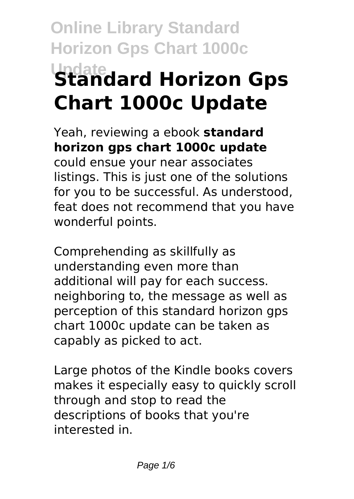# **Online Library Standard Horizon Gps Chart 1000c Update Standard Horizon Gps Chart 1000c Update**

Yeah, reviewing a ebook **standard horizon gps chart 1000c update** could ensue your near associates listings. This is just one of the solutions for you to be successful. As understood, feat does not recommend that you have wonderful points.

Comprehending as skillfully as understanding even more than additional will pay for each success. neighboring to, the message as well as perception of this standard horizon gps chart 1000c update can be taken as capably as picked to act.

Large photos of the Kindle books covers makes it especially easy to quickly scroll through and stop to read the descriptions of books that you're interested in.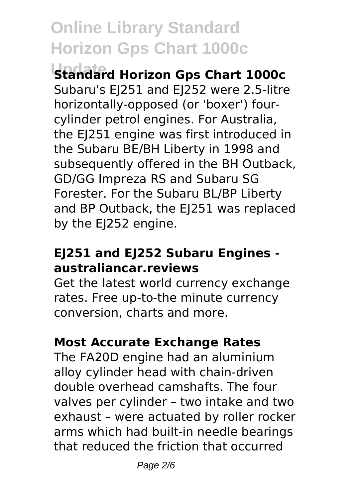**Update Standard Horizon Gps Chart 1000c**

Subaru's EJ251 and EJ252 were 2.5-litre horizontally-opposed (or 'boxer') fourcylinder petrol engines. For Australia, the EJ251 engine was first introduced in the Subaru BE/BH Liberty in 1998 and subsequently offered in the BH Outback, GD/GG Impreza RS and Subaru SG Forester. For the Subaru BL/BP Liberty and BP Outback, the EJ251 was replaced by the EJ252 engine.

### **EJ251 and EJ252 Subaru Engines australiancar.reviews**

Get the latest world currency exchange rates. Free up-to-the minute currency conversion, charts and more.

### **Most Accurate Exchange Rates**

The FA20D engine had an aluminium alloy cylinder head with chain-driven double overhead camshafts. The four valves per cylinder – two intake and two exhaust – were actuated by roller rocker arms which had built-in needle bearings that reduced the friction that occurred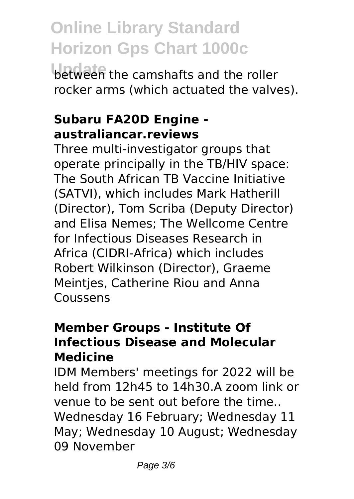**Update** between the camshafts and the roller rocker arms (which actuated the valves).

### **Subaru FA20D Engine australiancar.reviews**

Three multi-investigator groups that operate principally in the TB/HIV space: The South African TB Vaccine Initiative (SATVI), which includes Mark Hatherill (Director), Tom Scriba (Deputy Director) and Elisa Nemes; The Wellcome Centre for Infectious Diseases Research in Africa (CIDRI-Africa) which includes Robert Wilkinson (Director), Graeme Meintjes, Catherine Riou and Anna Coussens

### **Member Groups - Institute Of Infectious Disease and Molecular Medicine**

IDM Members' meetings for 2022 will be held from 12h45 to 14h30.A zoom link or venue to be sent out before the time.. Wednesday 16 February; Wednesday 11 May; Wednesday 10 August; Wednesday 09 November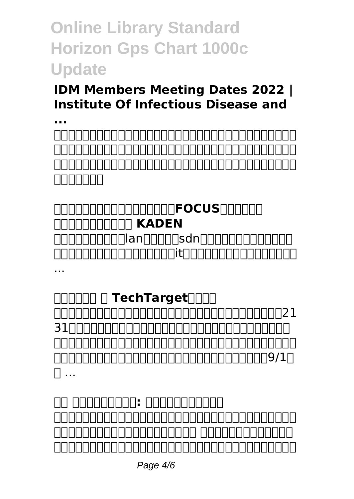### **IDM Members Meeting Dates 2022 | Institute Of Infectious Disease and**

**...** <u>compromational Association Activities and Activities and Activities and Activities and Activities and Activities and Activities and Activities and Activities and Activities and Activities and Activities and Activities and</u> 法人様専用通販サイトです。テレビ・エアコン・冷蔵庫・洗濯機等の家電製 <u>comercial control comercial control comercial control comercial control comercial control comercial control co</u> nnnnnn

### **MANDONAMANAMANTEOCUS インターネットショップ KADEN** <u>กกกกกกกกก</u>านลงความวิชีพลังหากกกกกกกกกก <u>noonoonoonoonoitaanoonoonoonoon</u> ...

**ANAMA - TechTarget** concomportance the control of the control of the form of the control of the control of the control of the cont 31 NOONADOODOOOOOOOOOOOOOOOOOO 本文、イラストは随時訂正し、書き換えます。著作権は風船に帰属し、商業 <u>nnnnnnnnnnnnnnnnnnnnnnnnn9/1</u>n の ...

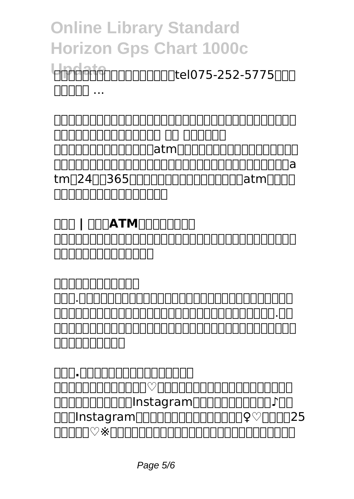Update 252-5775  $\Box \Box \Box \Box \Box$ 

**四条烏丸で会食・記念日・デート・お顔合わせ・お食い初め・お祝いなら【 日本料理(和食)・しゃぶしゃぶ 瓢斗 四条烏丸店】** conductorum atmentum controlum controlum atme controlational and the controlation of the two states of the control of the control of the control of the control of the control of the control of the control of the control of the control of the control of the control of tmn2400365000000000000000000atm0000 そういい カロロロロロロロロ

**NO | COOATMONDOOD** インターブランドジャパンによるブランド戦略に関する記事、事例、ブラン ド戦略セミナーのご案内です。

**インターブランドジャパン** ティー.ティーコーポレーションの採用情報ページです。「営業力は、最強 のチカラ。」をコンセプトに採用に関する社員インタビューやティー.ティ ーコーポレーションでの働き方、会社に関する情報を掲載しています。是非 **コロロロロロロ** 

**ティー.ティーコーポレーション採用サイト**  $\cap$ הרוחה מסורות החברות  $\circ$ הרוחה מסורות החברות ה UNNNNNNNNNNNNNstagramNNNNNNNNNNND1NN OOOInstagram000000000000000000 ♀ ♡ 000025 話をどうぞ♡※地雷女とは足を踏み入れたら危険な女性を表す言葉です。